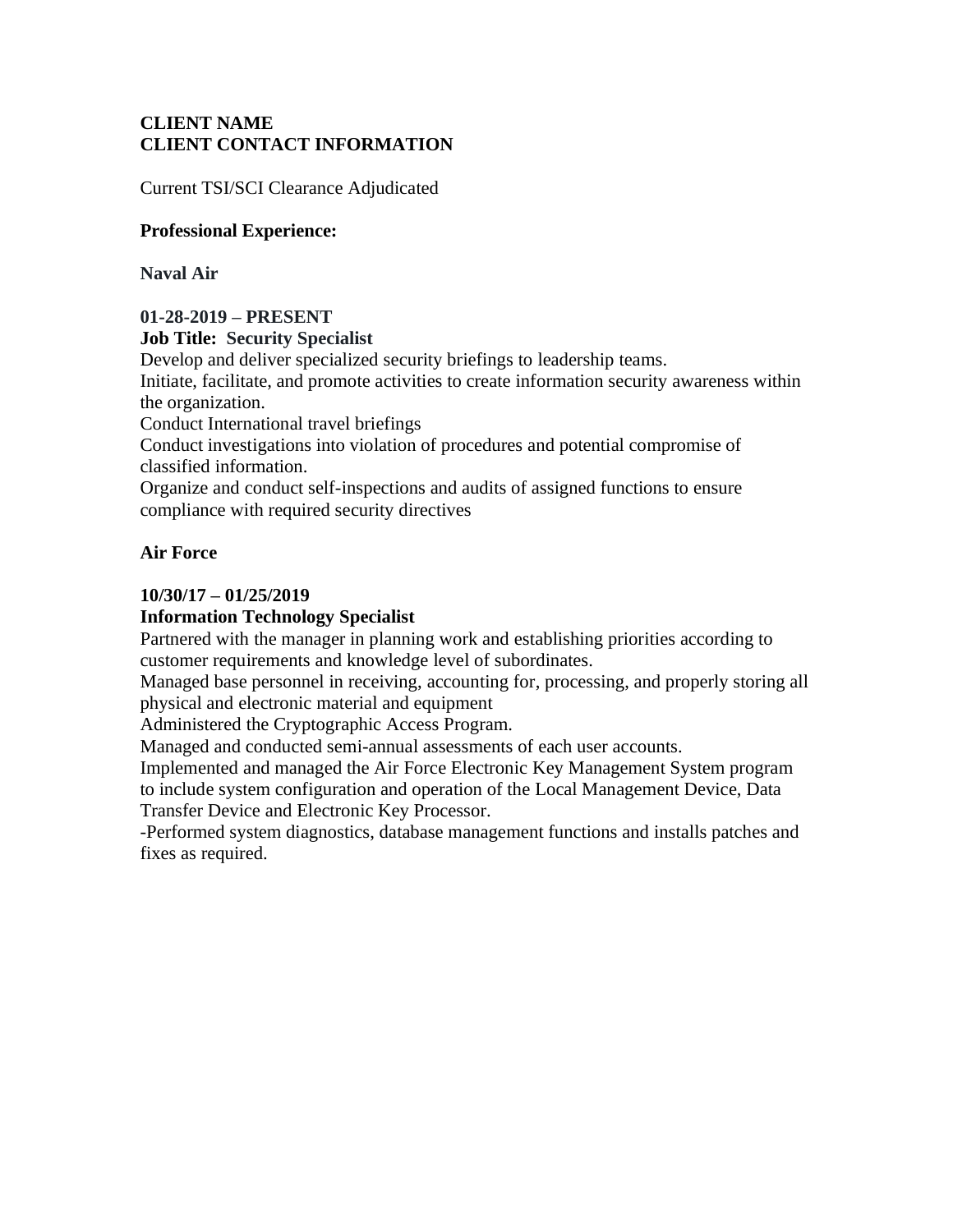## **CLIENT NAME CLIENT CONTACT INFORMATION**

Current TSI/SCI Clearance Adjudicated

## **Professional Experience:**

**Naval Air**

## **01-28-2019 – PRESENT**

## **Job Title: Security Specialist**

Develop and deliver specialized security briefings to leadership teams.

Initiate, facilitate, and promote activities to create information security awareness within the organization.

Conduct International travel briefings

Conduct investigations into violation of procedures and potential compromise of classified information.

Organize and conduct self-inspections and audits of assigned functions to ensure compliance with required security directives

## **Air Force**

## **10/30/17 – 01/25/2019**

## **Information Technology Specialist**

Partnered with the manager in planning work and establishing priorities according to customer requirements and knowledge level of subordinates.

Managed base personnel in receiving, accounting for, processing, and properly storing all physical and electronic material and equipment

Administered the Cryptographic Access Program.

Managed and conducted semi-annual assessments of each user accounts.

Implemented and managed the Air Force Electronic Key Management System program to include system configuration and operation of the Local Management Device, Data Transfer Device and Electronic Key Processor.

-Performed system diagnostics, database management functions and installs patches and fixes as required.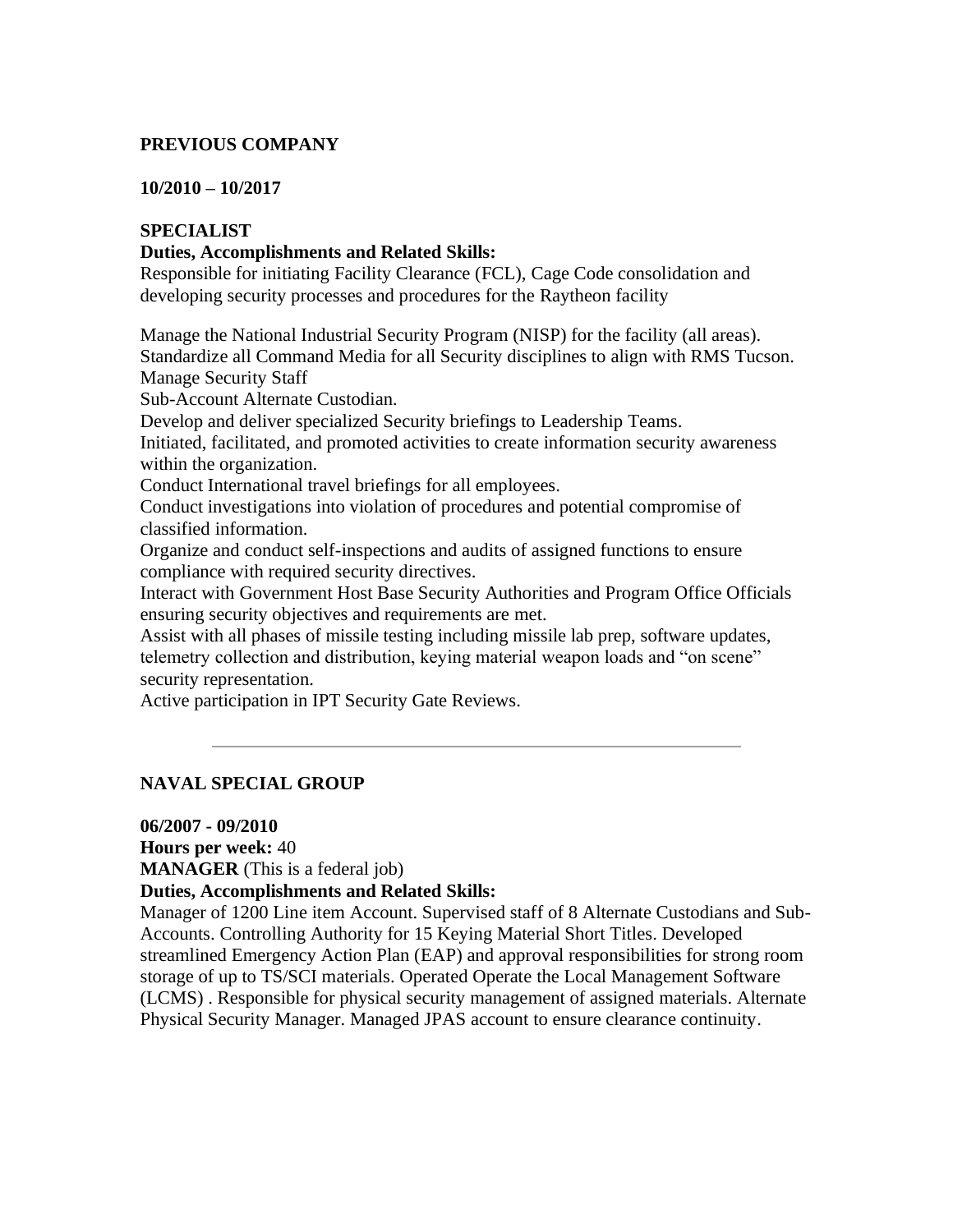## **PREVIOUS COMPANY**

#### **10/2010 – 10/2017**

## **SPECIALIST**

### **Duties, Accomplishments and Related Skills:**

Responsible for initiating Facility Clearance (FCL), Cage Code consolidation and developing security processes and procedures for the Raytheon facility

Manage the National Industrial Security Program (NISP) for the facility (all areas). Standardize all Command Media for all Security disciplines to align with RMS Tucson. Manage Security Staff

Sub-Account Alternate Custodian.

Develop and deliver specialized Security briefings to Leadership Teams.

Initiated, facilitated, and promoted activities to create information security awareness within the organization.

Conduct International travel briefings for all employees.

Conduct investigations into violation of procedures and potential compromise of classified information.

Organize and conduct self-inspections and audits of assigned functions to ensure compliance with required security directives.

Interact with Government Host Base Security Authorities and Program Office Officials ensuring security objectives and requirements are met.

Assist with all phases of missile testing including missile lab prep, software updates, telemetry collection and distribution, keying material weapon loads and "on scene" security representation.

Active participation in IPT Security Gate Reviews.

## **NAVAL SPECIAL GROUP**

**06/2007 - 09/2010 Hours per week:** 40 **MANAGER** (This is a federal job)

#### **Duties, Accomplishments and Related Skills:**

Manager of 1200 Line item Account. Supervised staff of 8 Alternate Custodians and Sub-Accounts. Controlling Authority for 15 Keying Material Short Titles. Developed streamlined Emergency Action Plan (EAP) and approval responsibilities for strong room storage of up to TS/SCI materials. Operated Operate the Local Management Software (LCMS) . Responsible for physical security management of assigned materials. Alternate Physical Security Manager. Managed JPAS account to ensure clearance continuity.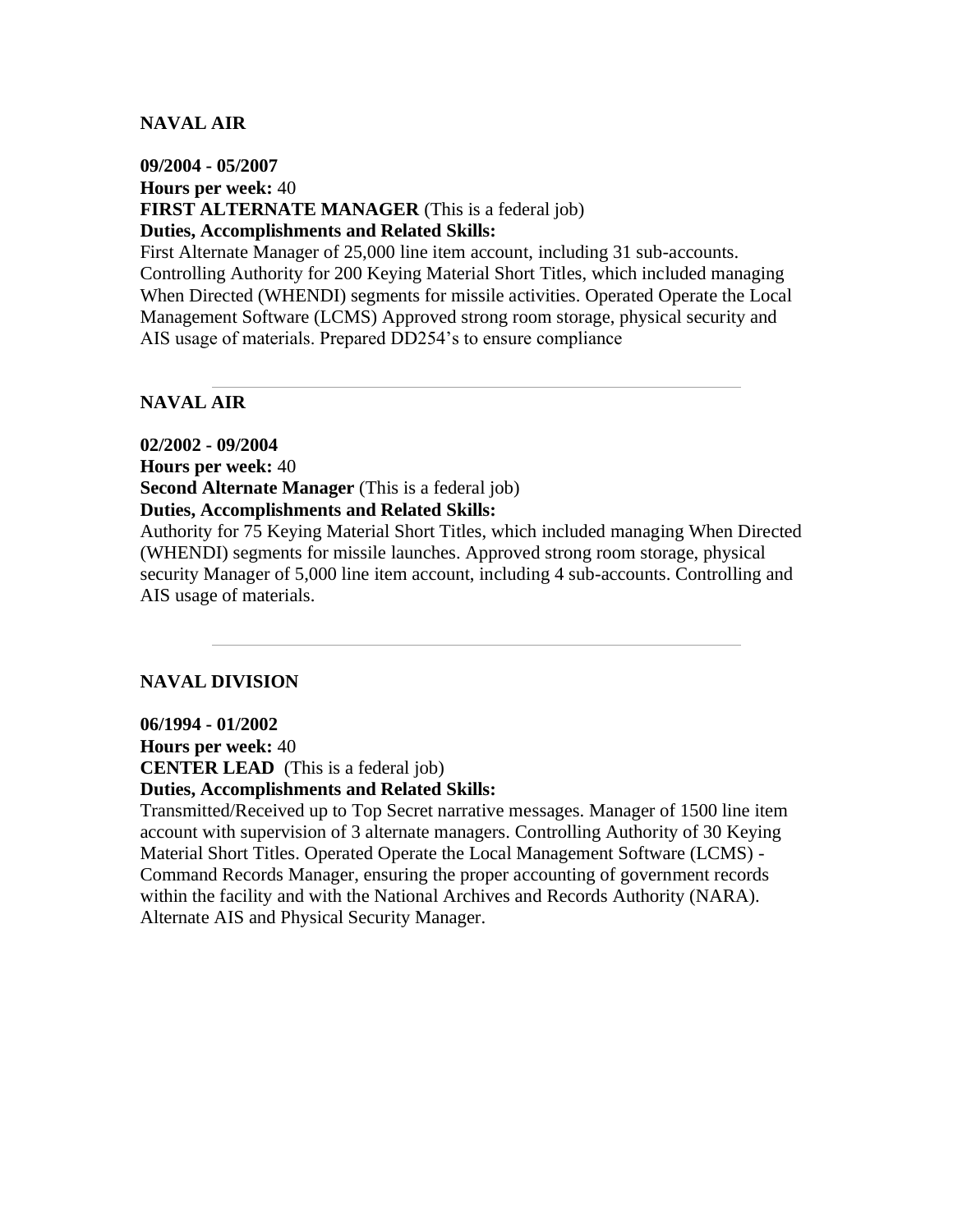## **NAVAL AIR**

## **09/2004 - 05/2007 Hours per week:** 40 **FIRST ALTERNATE MANAGER** (This is a federal job) **Duties, Accomplishments and Related Skills:**

First Alternate Manager of 25,000 line item account, including 31 sub-accounts. Controlling Authority for 200 Keying Material Short Titles, which included managing When Directed (WHENDI) segments for missile activities. Operated Operate the Local Management Software (LCMS) Approved strong room storage, physical security and AIS usage of materials. Prepared DD254's to ensure compliance

### **NAVAL AIR**

**02/2002 - 09/2004 Hours per week:** 40 **Second Alternate Manager** (This is a federal job) **Duties, Accomplishments and Related Skills:**  Authority for 75 Keying Material Short Titles, which included managing When Directed

(WHENDI) segments for missile launches. Approved strong room storage, physical security Manager of 5,000 line item account, including 4 sub-accounts. Controlling and AIS usage of materials.

#### **NAVAL DIVISION**

**06/1994 - 01/2002**

**Hours per week:** 40 **CENTER LEAD** (This is a federal job)

## **Duties, Accomplishments and Related Skills:**

Transmitted/Received up to Top Secret narrative messages. Manager of 1500 line item account with supervision of 3 alternate managers. Controlling Authority of 30 Keying Material Short Titles. Operated Operate the Local Management Software (LCMS) - Command Records Manager, ensuring the proper accounting of government records within the facility and with the National Archives and Records Authority (NARA). Alternate AIS and Physical Security Manager.